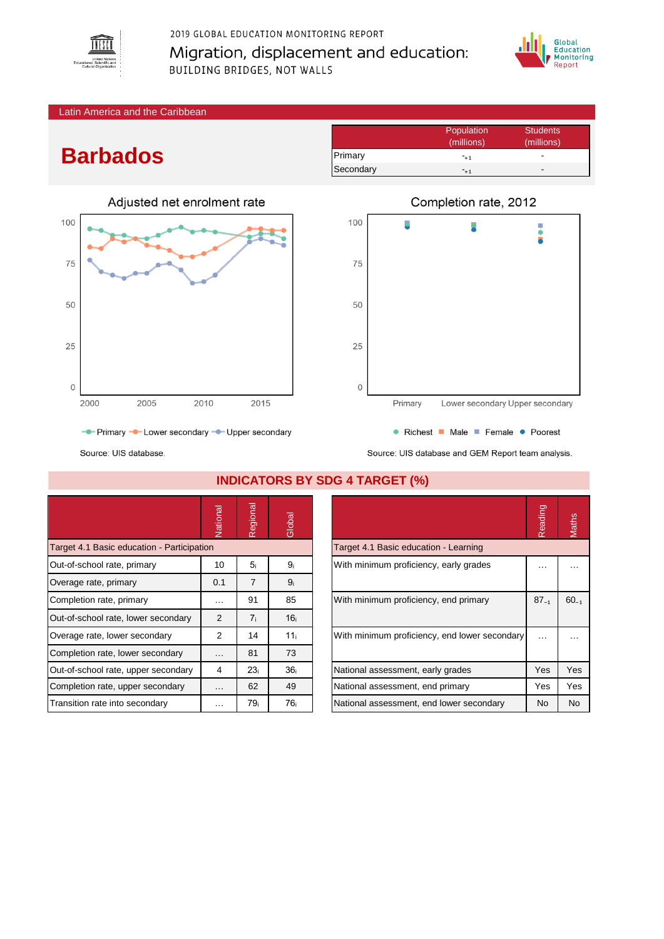

## 2019 GLOBAL EDUCATION MONITORING REPORT Migration, displacement and education: **BUILDING BRIDGES, NOT WALLS**



#### Latin America and the Caribbean

# **Barbados**

Source: UIS database.

|             |      |      | Adjusted net enrolment rate |      |
|-------------|------|------|-----------------------------|------|
| 100         |      |      |                             |      |
| 75          |      |      |                             |      |
| 50          |      |      |                             |      |
| 25          |      |      |                             |      |
| $\mathbf 0$ |      |      |                             |      |
|             | 2000 | 2005 | 2010                        | 2015 |

Population Students<br>
(millions) (millions) (millions) (millions) Primary **-**  $-1$ Secondary  $-+1$ 



- Primary - Lower secondary - Upper secondary

Source: UIS database and GEM Report team analysis.

• Richest • Male • Female • Poorest

|                                            | Vational | Regional        | Global          |                                               | Reading   | <b>Maths</b> |
|--------------------------------------------|----------|-----------------|-----------------|-----------------------------------------------|-----------|--------------|
| Target 4.1 Basic education - Participation |          |                 |                 | Target 4.1 Basic education - Learning         |           |              |
| Out-of-school rate, primary                | 10       | 5 <sub>i</sub>  | 9 <sub>i</sub>  | With minimum proficiency, early grades        | .         |              |
| Overage rate, primary                      | 0.1      | $\overline{7}$  | 9 <sub>i</sub>  |                                               |           |              |
| Completion rate, primary                   | $\cdots$ | 91              | 85              | With minimum proficiency, end primary         | $87_{-1}$ | $60_{-1}$    |
| Out-of-school rate, lower secondary        | 2        | 7 <sub>i</sub>  | 16 <sub>i</sub> |                                               |           |              |
| Overage rate, lower secondary              | 2        | 14              | 11 <sub>i</sub> | With minimum proficiency, end lower secondary | $\cdots$  | $\cdots$     |
| Completion rate, lower secondary           | $\cdots$ | 81              | 73              |                                               |           |              |
| Out-of-school rate, upper secondary        | 4        | 23i             | 36 <sub>i</sub> | National assessment, early grades             | Yes       | Yes          |
| Completion rate, upper secondary           | $\cdots$ | 62              | 49              | National assessment, end primary              | Yes       | Yes          |
| Transition rate into secondary             | $\cdots$ | 79 <sub>i</sub> | 76i             | National assessment, end lower secondary      | No.       | <b>No</b>    |

#### **INDICATORS BY SDG 4 TARGET (%)**

|                                               | Reading   | <b>Aaths</b> |
|-----------------------------------------------|-----------|--------------|
| Target 4.1 Basic education - Learning         |           |              |
| With minimum proficiency, early grades        |           |              |
| With minimum proficiency, end primary         | $87_{-1}$ | $60_{-1}$    |
| With minimum proficiency, end lower secondary |           |              |
| National assessment, early grades             | Yes       | Yes          |
| National assessment, end primary              | Yes       | Yes          |
| National assessment, end lower secondary      | No        | No           |
|                                               |           |              |

## Completion rate, 2012